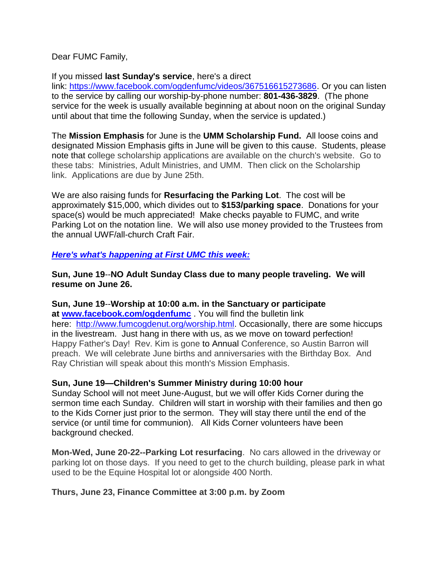Dear FUMC Family,

## If you missed **last Sunday's service**, here's a direct

link: [https://www.facebook.com/ogdenfumc/videos/367516615273686.](https://www.facebook.com/ogdenfumc/videos/367516615273686) Or you can listen to the service by calling our worship-by-phone number: **801-436-3829**. (The phone service for the week is usually available beginning at about noon on the original Sunday until about that time the following Sunday, when the service is updated.)

The **Mission Emphasis** for June is the **UMM Scholarship Fund.** All loose coins and designated Mission Emphasis gifts in June will be given to this cause. Students, please note that college scholarship applications are available on the church's website. Go to these tabs: Ministries, Adult Ministries, and UMM. Then click on the Scholarship link. Applications are due by June 25th.

We are also raising funds for **Resurfacing the Parking Lot**. The cost will be approximately \$15,000, which divides out to **\$153/parking space**. Donations for your space(s) would be much appreciated! Make checks payable to FUMC, and write Parking Lot on the notation line. We will also use money provided to the Trustees from the annual UWF/all-church Craft Fair.

## *Here's what's happening at First UMC this week:*

**Sun, June 19**--**NO Adult Sunday Class due to many people traveling. We will resume on June 26.**

**Sun, June 19**--**Worship at 10:00 a.m. in the Sanctuary or participate at [www.facebook.com/ogdenfumc](http://www.facebook.com/ogdenfumc)** . You will find the bulletin link here: [http://www.fumcogdenut.org/worship.html.](http://www.fumcogdenut.org/worship.html) Occasionally, there are some hiccups in the livestream. Just hang in there with us, as we move on toward perfection! Happy Father's Day! Rev. Kim is gone to Annual Conference, so Austin Barron will preach. We will celebrate June births and anniversaries with the Birthday Box. And Ray Christian will speak about this month's Mission Emphasis.

# **Sun, June 19—Children's Summer Ministry during 10:00 hour**

Sunday School will not meet June-August, but we will offer Kids Corner during the sermon time each Sunday. Children will start in worship with their families and then go to the Kids Corner just prior to the sermon. They will stay there until the end of the service (or until time for communion). All Kids Corner volunteers have been background checked.

**Mon-Wed, June 20-22--Parking Lot resurfacing**. No cars allowed in the driveway or parking lot on those days. If you need to get to the church building, please park in what used to be the Equine Hospital lot or alongside 400 North.

# **Thurs, June 23, Finance Committee at 3:00 p.m. by Zoom**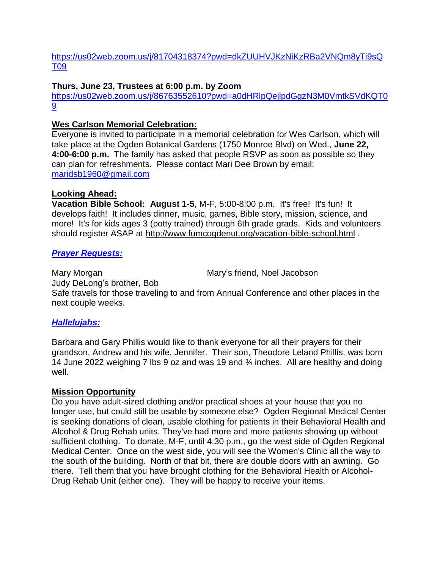[https://us02web.zoom.us/j/81704318374?pwd=dkZUUHVJKzNiKzRBa2VNQm8yTi9sQ](https://us02web.zoom.us/j/81704318374?pwd=dkZUUHVJKzNiKzRBa2VNQm8yTi9sQT09) [T09](https://us02web.zoom.us/j/81704318374?pwd=dkZUUHVJKzNiKzRBa2VNQm8yTi9sQT09)

## **Thurs, June 23, Trustees at 6:00 p.m. by Zoom**

[https://us02web.zoom.us/j/86763552610?pwd=a0dHRlpQejlpdGgzN3M0VmtkSVdKQT0](https://us02web.zoom.us/j/86763552610?pwd=a0dHRlpQejlpdGgzN3M0VmtkSVdKQT09) [9](https://us02web.zoom.us/j/86763552610?pwd=a0dHRlpQejlpdGgzN3M0VmtkSVdKQT09)

## **Wes Carlson Memorial Celebration:**

Everyone is invited to participate in a memorial celebration for Wes Carlson, which will take place at the Ogden Botanical Gardens (1750 Monroe Blvd) on Wed., **June 22, 4:00-6:00 p.m.** The family has asked that people RSVP as soon as possible so they can plan for refreshments. Please contact Mari Dee Brown by email: [maridsb1960@gmail.com](mailto:maridsb1960@gmail.com)

## **Looking Ahead:**

**Vacation Bible School: August 1-5**, M-F, 5:00-8:00 p.m. It's free! It's fun! It develops faith! It includes dinner, music, games, Bible story, mission, science, and more! It's for kids ages 3 (potty trained) through 6th grade grads. Kids and volunteers should register ASAP at <http://www.fumcogdenut.org/vacation-bible-school.html> .

## *Prayer Requests:*

Mary Morgan Mary's friend, Noel Jacobson Judy DeLong's brother, Bob Safe travels for those traveling to and from Annual Conference and other places in the next couple weeks.

# *Hallelujahs:*

Barbara and Gary Phillis would like to thank everyone for all their prayers for their grandson, Andrew and his wife, Jennifer. Their son, Theodore Leland Phillis, was born 14 June 2022 weighing 7 lbs 9 oz and was 19 and ¾ inches. All are healthy and doing well.

#### **Mission Opportunity**

Do you have adult-sized clothing and/or practical shoes at your house that you no longer use, but could still be usable by someone else? Ogden Regional Medical Center is seeking donations of clean, usable clothing for patients in their Behavioral Health and Alcohol & Drug Rehab units. They've had more and more patients showing up without sufficient clothing. To donate, M-F, until 4:30 p.m., go the west side of Ogden Regional Medical Center. Once on the west side, you will see the Women's Clinic all the way to the south of the building. North of that bit, there are double doors with an awning. Go there. Tell them that you have brought clothing for the Behavioral Health or Alcohol-Drug Rehab Unit (either one). They will be happy to receive your items.